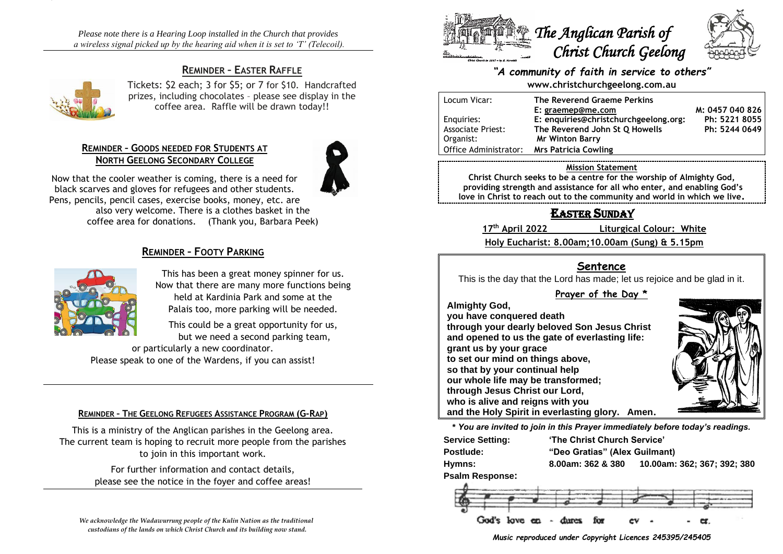*Please note there is a Hearing Loop installed in the Church that provides a wireless signal picked up by the hearing aid when it is set to 'T' (Telecoil).*

# **REMINDER – EASTER RAFFLE**



Tickets: \$2 each; 3 for \$5; or 7 for \$10. Handcrafted prizes, including chocolates – please see display in the coffee area. Raffle will be drawn today!!

### **REMINDER – GOODS NEEDED FOR STUDENTS AT NORTH GEELONG SECONDARY COLLEGE**



Now that the cooler weather is coming, there is a need for black scarves and gloves for refugees and other students. Pens, pencils, pencil cases, exercise books, money, etc. are also very welcome. There is a clothes basket in the coffee area for donations. (Thank you, Barbara Peek)

### **REMINDER – FOOTY PARKING**



This has been a great money spinner for us. Now that there are many more functions being held at Kardinia Park and some at the Palais too, more parking will be needed.

This could be a great opportunity for us, but we need a second parking team,

or particularly a new coordinator. Please speak to one of the Wardens, if you can assist!

#### **REMINDER – THE GEELONG REFUGEES ASSISTANCE PROGRAM (G-RAP)**

This is a ministry of the Anglican parishes in the Geelong area. The current team is hoping to recruit more people from the parishes to join in this important work.

> For further information and contact details, please see the notice in the foyer and coffee areas!

*We acknowledge the Wadawurrung people of the Kulin Nation as the traditional custodians of the lands on which Christ Church and its building now stand.*



### *"A community of faith in service to others"* **www.christchurchgeelong.com.au**

| Locum Vicar:             | The Reverend Graeme Perkins           |                 |
|--------------------------|---------------------------------------|-----------------|
|                          | E: graemep@me.com                     | M: 0457 040 826 |
| Enquiries:               | E: enquiries@christchurchgeelong.org: | Ph: 5221 8055   |
| <b>Associate Priest:</b> | The Reverend John St Q Howells        | Ph: 5244 0649   |
| Organist:                | <b>Mr Winton Barry</b>                |                 |
| Office Administrator:    | <b>Mrs Patricia Cowling</b>           |                 |
|                          |                                       |                 |

#### **Mission Statement**

**Christ Church seeks to be a centre for the worship of Almighty God, providing strength and assistance for all who enter, and enabling God's love in Christ to reach out to the community and world in which we live.**

# EASTER SUNDAY

17<sup>th</sup> April 2022

**th April 2022 Liturgical Colour: White**

**Holy Eucharist: 8.00am;10.00am (Sung) & 5.15pm**

## **Sentence**

This is the day that the Lord has made; let us rejoice and be glad in it.

### **Prayer of the Day \***

**Almighty God,**

**you have conquered death through your dearly beloved Son Jesus Christ and opened to us the gate of everlasting life: grant us by your grace to set our mind on things above, so that by your continual help our whole life may be transformed; through Jesus Christ our Lord, who is alive and reigns with you and the Holy Spirit in everlasting glory. Amen.**



**\*** *You are invited to join in this Prayer immediately before today's readings.*

| <b>Service Setting:</b> |                   | 'The Christ Church Service'   |  |  |  |
|-------------------------|-------------------|-------------------------------|--|--|--|
| Postlude:               |                   | "Deo Gratias" (Alex Guilmant) |  |  |  |
| Hymns:                  | 8.00am: 362 & 380 | 10.00am: 362; 367; 392; 380   |  |  |  |
| <b>Psalm Response:</b>  |                   |                               |  |  |  |



*Music reproduced under Copyright Licences 245395/245405*